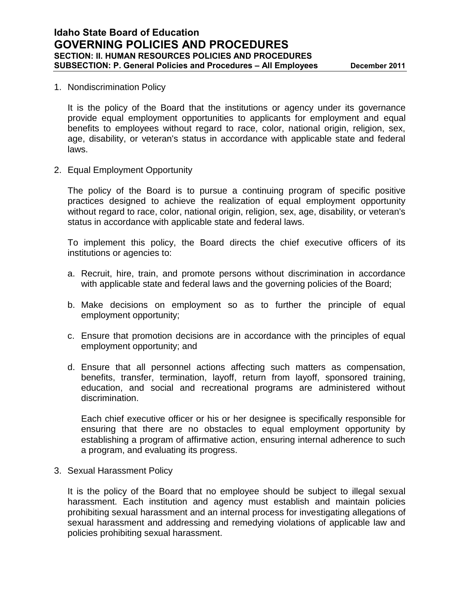## 1. Nondiscrimination Policy

It is the policy of the Board that the institutions or agency under its governance provide equal employment opportunities to applicants for employment and equal benefits to employees without regard to race, color, national origin, religion, sex, age, disability, or veteran's status in accordance with applicable state and federal laws.

2. Equal Employment Opportunity

The policy of the Board is to pursue a continuing program of specific positive practices designed to achieve the realization of equal employment opportunity without regard to race, color, national origin, religion, sex, age, disability, or veteran's status in accordance with applicable state and federal laws.

To implement this policy, the Board directs the chief executive officers of its institutions or agencies to:

- a. Recruit, hire, train, and promote persons without discrimination in accordance with applicable state and federal laws and the governing policies of the Board;
- b. Make decisions on employment so as to further the principle of equal employment opportunity;
- c. Ensure that promotion decisions are in accordance with the principles of equal employment opportunity; and
- d. Ensure that all personnel actions affecting such matters as compensation, benefits, transfer, termination, layoff, return from layoff, sponsored training, education, and social and recreational programs are administered without discrimination.

Each chief executive officer or his or her designee is specifically responsible for ensuring that there are no obstacles to equal employment opportunity by establishing a program of affirmative action, ensuring internal adherence to such a program, and evaluating its progress.

3. Sexual Harassment Policy

It is the policy of the Board that no employee should be subject to illegal sexual harassment. Each institution and agency must establish and maintain policies prohibiting sexual harassment and an internal process for investigating allegations of sexual harassment and addressing and remedying violations of applicable law and policies prohibiting sexual harassment.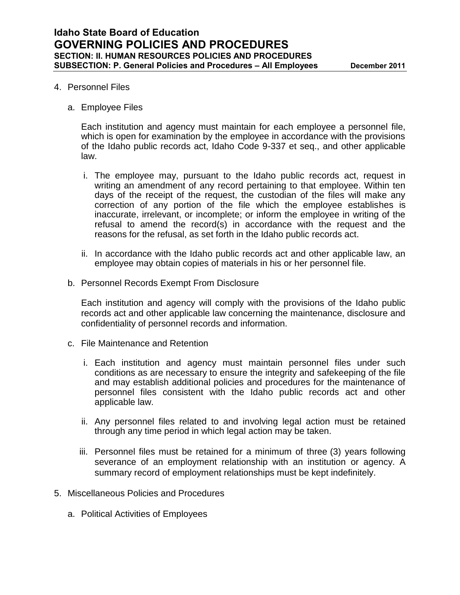## 4. Personnel Files

a. Employee Files

Each institution and agency must maintain for each employee a personnel file, which is open for examination by the employee in accordance with the provisions of the Idaho public records act, Idaho Code 9-337 et seq., and other applicable law.

- i. The employee may, pursuant to the Idaho public records act, request in writing an amendment of any record pertaining to that employee. Within ten days of the receipt of the request, the custodian of the files will make any correction of any portion of the file which the employee establishes is inaccurate, irrelevant, or incomplete; or inform the employee in writing of the refusal to amend the record(s) in accordance with the request and the reasons for the refusal, as set forth in the Idaho public records act.
- ii. In accordance with the Idaho public records act and other applicable law, an employee may obtain copies of materials in his or her personnel file.
- b. Personnel Records Exempt From Disclosure

Each institution and agency will comply with the provisions of the Idaho public records act and other applicable law concerning the maintenance, disclosure and confidentiality of personnel records and information.

- c. File Maintenance and Retention
	- i. Each institution and agency must maintain personnel files under such conditions as are necessary to ensure the integrity and safekeeping of the file and may establish additional policies and procedures for the maintenance of personnel files consistent with the Idaho public records act and other applicable law.
	- ii. Any personnel files related to and involving legal action must be retained through any time period in which legal action may be taken.
	- iii. Personnel files must be retained for a minimum of three (3) years following severance of an employment relationship with an institution or agency. A summary record of employment relationships must be kept indefinitely.
- 5. Miscellaneous Policies and Procedures
	- a. Political Activities of Employees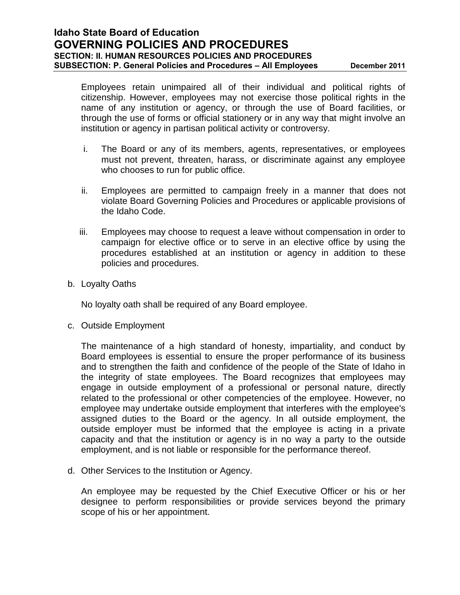Employees retain unimpaired all of their individual and political rights of citizenship. However, employees may not exercise those political rights in the name of any institution or agency, or through the use of Board facilities, or through the use of forms or official stationery or in any way that might involve an institution or agency in partisan political activity or controversy.

- i. The Board or any of its members, agents, representatives, or employees must not prevent, threaten, harass, or discriminate against any employee who chooses to run for public office.
- ii. Employees are permitted to campaign freely in a manner that does not violate Board Governing Policies and Procedures or applicable provisions of the Idaho Code.
- iii. Employees may choose to request a leave without compensation in order to campaign for elective office or to serve in an elective office by using the procedures established at an institution or agency in addition to these policies and procedures.
- b. Loyalty Oaths

No loyalty oath shall be required of any Board employee.

c. Outside Employment

The maintenance of a high standard of honesty, impartiality, and conduct by Board employees is essential to ensure the proper performance of its business and to strengthen the faith and confidence of the people of the State of Idaho in the integrity of state employees. The Board recognizes that employees may engage in outside employment of a professional or personal nature, directly related to the professional or other competencies of the employee. However, no employee may undertake outside employment that interferes with the employee's assigned duties to the Board or the agency. In all outside employment, the outside employer must be informed that the employee is acting in a private capacity and that the institution or agency is in no way a party to the outside employment, and is not liable or responsible for the performance thereof.

d. Other Services to the Institution or Agency.

An employee may be requested by the Chief Executive Officer or his or her designee to perform responsibilities or provide services beyond the primary scope of his or her appointment.